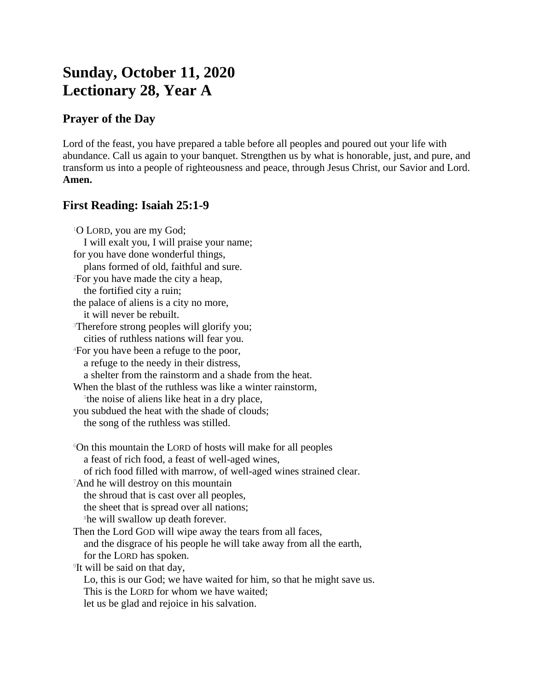# **Sunday, October 11, 2020 Lectionary 28, Year A**

## **Prayer of the Day**

Lord of the feast, you have prepared a table before all peoples and poured out your life with abundance. Call us again to your banquet. Strengthen us by what is honorable, just, and pure, and transform us into a people of righteousness and peace, through Jesus Christ, our Savior and Lord. **Amen.**

## **First Reading: Isaiah 25:1-9**

<sup>1</sup>O LORD, you are my God; I will exalt you, I will praise your name; for you have done wonderful things, plans formed of old, faithful and sure. <sup>2</sup>For you have made the city a heap, the fortified city a ruin; the palace of aliens is a city no more, it will never be rebuilt. <sup>3</sup>Therefore strong peoples will glorify you; cities of ruthless nations will fear you. <sup>4</sup>For you have been a refuge to the poor, a refuge to the needy in their distress, a shelter from the rainstorm and a shade from the heat. When the blast of the ruthless was like a winter rainstorm, 5 the noise of aliens like heat in a dry place, you subdued the heat with the shade of clouds; the song of the ruthless was stilled. <sup>6</sup>On this mountain the LORD of hosts will make for all peoples a feast of rich food, a feast of well-aged wines, of rich food filled with marrow, of well-aged wines strained clear. <sup>7</sup>And he will destroy on this mountain the shroud that is cast over all peoples, the sheet that is spread over all nations; <sup>8</sup>he will swallow up death forever. Then the Lord GOD will wipe away the tears from all faces, and the disgrace of his people he will take away from all the earth, for the LORD has spoken. 9 It will be said on that day, Lo, this is our God; we have waited for him, so that he might save us. This is the LORD for whom we have waited; let us be glad and rejoice in his salvation.